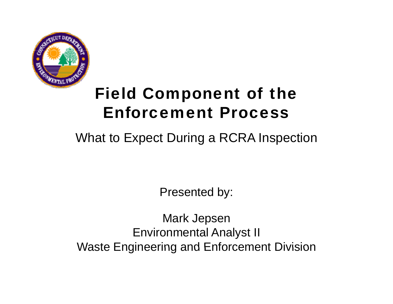

## Field Component of the Enforcement Process

#### What to Expect During a RCRA Inspection

Presented by:

Mark Jepsen Environmental Analyst II Waste Engineering and Enforcement Division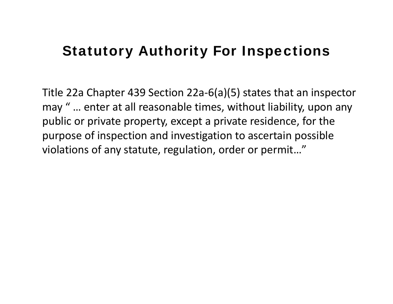## **Statutory Authority For Inspections**

Title 22a Chapter 439 Section 22a‐6(a)(5) states that an inspector may " … enter at all reasonable times, without liability, upon any public or private property, except <sup>a</sup> private residence, for the purpose of inspection and investigation to ascertain possible violations of any statute, regulation, order or permit…"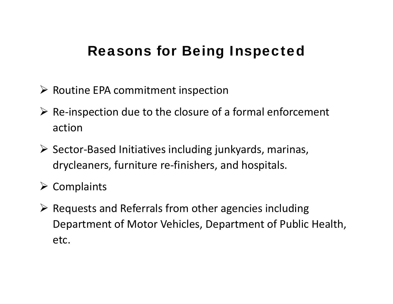## **Reasons for Being Inspected**

- ¾ Routine EPA commitment inspection
- ¾ Re‐inspection due to the closure of <sup>a</sup> formal enforcement action
- ¾ Sector‐Based Initiatives including junkyards, marinas, drycleaners, furniture re‐finishers, and hospitals.
- $\triangleright$  Complaints
- $\triangleright$  Requests and Referrals from other agencies including Department of Motor Vehicles, Department of Public Health, etc.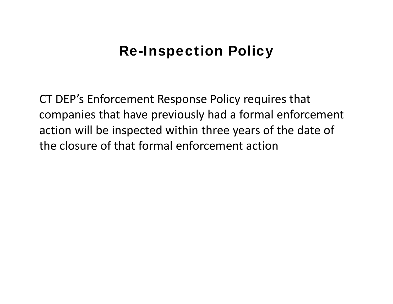## **Re-Inspection Policy**

CT DEP's Enforcement Response Policy requires that companies that have previously had <sup>a</sup> formal enforcement action will be inspected within three years of the date of the closure of that formal enforcement action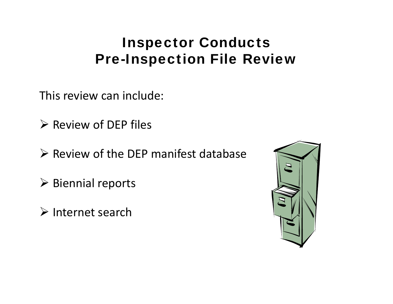## Inspector Conducts Pre-Inspection File Review

This review can include:

 $\triangleright$  Review of DEP files

- $\triangleright$  Review of the DEP manifest database
- $\triangleright$  Biennial reports
- $\triangleright$  Internet search

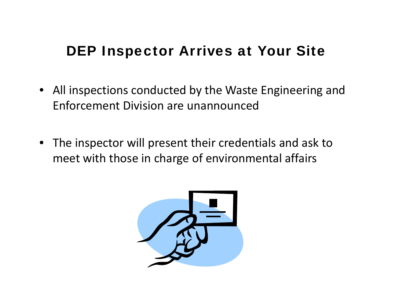## DEP Inspector Arrives at Your Site

- All inspections conducted by the Waste Engineering and Enforcement Division are unannounced
- The inspector will present their credentials and ask to meet with those in charge of environmental affairs

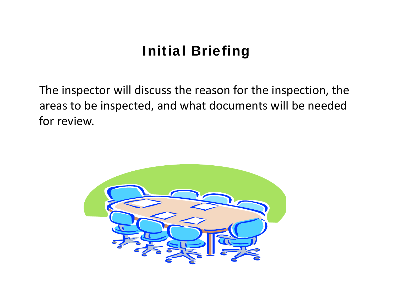## Initial Briefing

The inspector will discuss the reason for the inspection, the areas to be inspected, and what documents will be needed for review.

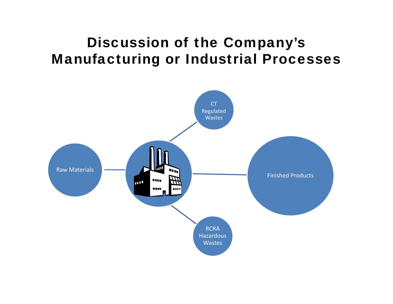## Discussion of the Company's Manufacturing or Industrial Processes

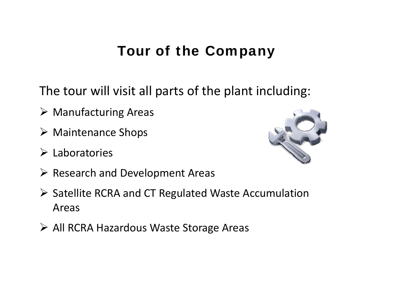## Tour of the Company

The tour will visit all parts of the plant including:

- $\triangleright$  Manufacturing Areas
- ¾ Maintenance Shops
- $\triangleright$  Laboratories



- $\triangleright$  Research and Development Areas
- ¾ Satellite RCRA and CT Regulated Waste Accumulation Areas
- ¾ All RCRA Hazardous Waste Storage Areas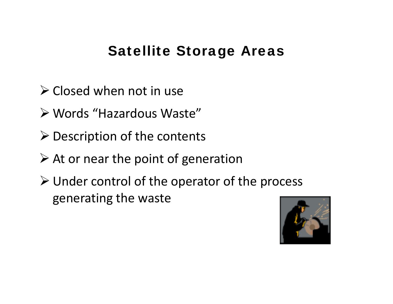#### Satellite Storage Areas

- $\triangleright$  Closed when not in use
- ¾ Words "Hazardous Waste"
- $\triangleright$  Description of the contents
- $\triangleright$  At or near the point of generation
- ¾ Under control of the operator of the process generating the waste

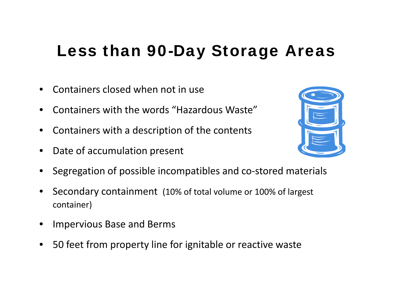## Less than 90-Day Storage Areas

- •**•** Containers closed when not in use
- •Containers with the words "Hazardous Waste"
- •Containers with <sup>a</sup> description of the contents
- •Date of accumulation present



- •Segregation of possible incompatibles and co‐stored materials
- • Secondary containment (10% of total volume or 100% of largest container)
- •Impervious Base and Berms
- •50 feet from property line for ignitable or reactive waste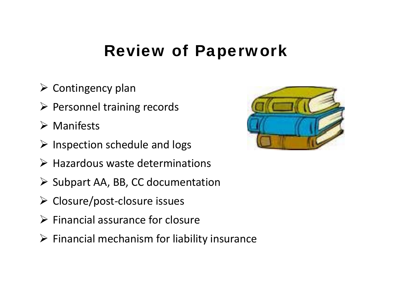## Review of Paperwork

- $\triangleright$  Contingency plan
- ¾ Personnel training records
- $\triangleright$  Manifests
- $\triangleright$  Inspection schedule and logs
- $\triangleright$  Hazardous waste determinations
- ¾ Subpart AA, BB, CC documentation
- ¾ Closure/post ‐closure issues
- $\triangleright$  Financial assurance for closure
- $\triangleright$  Financial mechanism for liability insurance

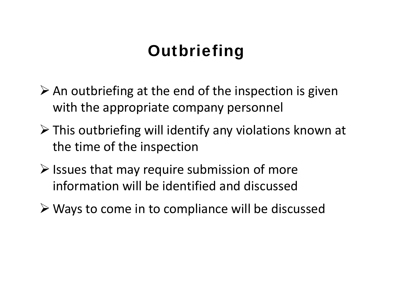## **Outbriefing**

- $\triangleright$  An outbriefing at the end of the inspection is given with the appropriate company personnel
- ¾ This outbriefing will identify any violations known at the time of the inspection
- $\triangleright$  Issues that may require submission of more information will be identified and discussed
- ¾ Ways to come in to compliance will be discussed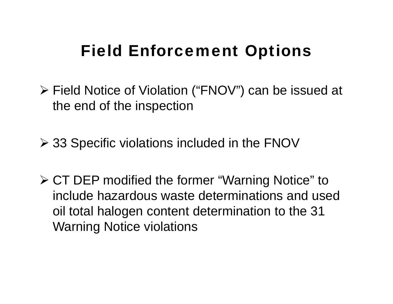## Field Enforcement Options

 $\triangleright$  Field Notice of Violation ("FNOV") can be issued at the end of the inspection

¾ 33 Specific violations included in the FNOV

¾ CT DEP modified the former "Warning Notice" to include hazardous waste determinations and used oil total halogen content determination to the 31 Warning Notice violations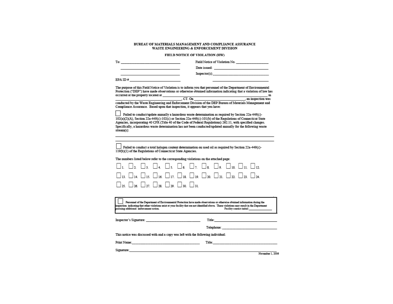#### BUREAU OF MATERIALS MANAGEMENT AND COMPLIANCE ASSURANCE WASTE ENGINEERING & ENFORCEMENT DIVISION

#### FIELD NOTICE OF VIOLATION (HW)

| Field Notice of Violation No. |  |  |
|-------------------------------|--|--|
|                               |  |  |

 $To:$   $\qquad \qquad$   $\qquad \qquad$   $\qquad \qquad$   $\qquad \qquad$   $\qquad \qquad$   $\qquad \qquad$   $\qquad \qquad$   $\qquad \qquad$   $\qquad \qquad$   $\qquad$   $\qquad \qquad$   $\qquad$   $\qquad$   $\qquad$   $\qquad$   $\qquad$   $\qquad$   $\qquad$   $\qquad$   $\qquad$   $\qquad$   $\qquad$   $\qquad$   $\qquad$   $\qquad$   $\qquad$   $\qquad$   $\qquad$   $\qquad$   $\qquad$   $\qquad$ 

Date issued: The contract of the contract of the contract of the contract of the contract of the contract of the contract of the contract of the contract of the contract of the contract of the contract of the contract of t

| Inspector(s): |
|---------------|

EPA ID  $#$ 

The purpose of this Field Notice of Violation is to inform you that personnel of the Department of Environmental Protection ("DEP") have made observations or otherwise obtained information indicating that a violation of law has

Compliance Assurance. Based upon that inspection, it appears that you have:

Failed to conduct/undate annually a hazardous waste determination as required by Section 22a-449(c)-102(a)(2)(A), Section 22a-449(c)-102(c) or Section 22a-449(c)-101(b) of the Regulations of Connecticut State Agencies, incorporating 40 CFR (Title 40 of the Code of Federal Regulations) 262.11, with specified changes. Specifically, a hazardous waste determination has not been conducted/updated annually for the following waste stream(s):

Failed to conduct a total halogen content determination on used oil as required by Section 22a-449(c)-119(b)(1) of the Regulations of Connecticut State Agencies.

The numbers listed below refer to the corresponding violations on the attached page:

|  | D1. O2. O3. O4. O5. O6. O7. O8. O9. O10. O11. O12                                                                                                                       |  |  |  |  |  |
|--|-------------------------------------------------------------------------------------------------------------------------------------------------------------------------|--|--|--|--|--|
|  | $\square$ 13. $\square$ 14. $\square$ 15. $\square$ 16. $\square$ 17. $\square$ 18. $\square$ 19. $\square$ 20. $\square$ 21. $\square$ 22. $\square$ 23. $\square$ 24. |  |  |  |  |  |
|  | $\Box$ 25. $\Box$ 26. $\Box$ 27. $\Box$ 28. $\Box$ 29. $\Box$ 30. $\Box$ 31.                                                                                            |  |  |  |  |  |

Personnel of the Department of Environmental Protection have made observations or otherwise obtained information during the inspection indicating that other violations exist at your facility that are not identified above. These violations may result in the Department arsuing additional unforcement action. Facility contact initial

Inspector's Signature:

**Example 2018** Title: Title: Title: Title: Title: Title: Title: Title: Title: Title: Title: Title: Title: Title: Title: Title: Title: Title: Title: Title: Title: Title: Title: Title: Title: Title: Title: Title: Title: Titl

Telephone:

This notice was discussed with and a copy was left with the following individual:

Signature: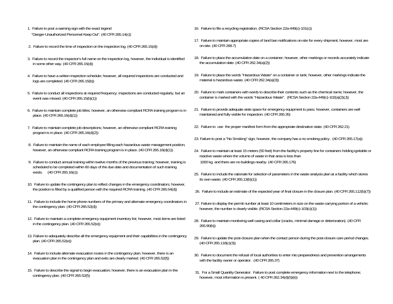- 1. Failure to post a warning sign with the exact legend "Danger-Unauthorized Personnel Keep Out". (40 CFR 265.14(c))
- 2. Failure to record the time of inspection on the inspection log. (40 CFR 265.15(d))
- 3. Failure to record the inspector's full name on the inspection log, however, the individual is identified in some other way. (40 CFR 265.15(d))
- 4. Failure to have a written inspection schedule; however, all required inspections are conducted and logs are completed. (40 CFR 265.15(b))
- 
- 6. Failure to maintain complete job titles; however, an otherwise compliant RCRA training program is in place. (40 CFR 265.16(d)(1))
- 7. Failure to maintain complete job descriptions; however, an otherwise compliant RCRA training program is in place (40 CFR 265 16(d)(2))
- 8. Failure to maintain the name of each employee filling each hazardous waste management position; however, an otherwise compliant RCRA training program is in place. (40 CFR 265.16(d)(1))
- 9. Failure to conduct annual training within twelve months of the previous training; however, training is scheduled to be completed within 60 days of the due date and documentation of such training exists.  $(40 \text{ CFR } 265.16(c))$
- 10. Failure to update the contingency plan to reflect changes in the emergency coordinators; however, the position is filled by a qualified person with the required RCRA training. (40 CFR 265.54(d))
- 11. Failure to include the home phone numbers of the primary and alternate emergency coordinators in the contingency plan. (40 CFR 265.52(d))
- 12. Failure to maintain a complete emergency equipment inventory list; however, most items are listed in the contingency plan. (40 CFR 265.52(e))
- 13. Failure to adequately describe all the emergency equipment and their capabilities in the contingency plan. (40 CFR 265.52(e))
- 14. Failure to include alternate evacuation routes in the contingency plan; however, there is an evacuation plan in the contingency plan and exits are clearly marked. (40 CFR 265.52(f))
- 15. Failure to describe the signal to begin evacuation; however, there is an evacuation plan in the contingency plan. (40 CFR 265.52(f))
- 16. Failure to file a recycling registration. (RCSA Section 22a-449(c)-101(c))
- 17. Failure to maintain appropriate copies of land ban notifications on-site for every shipment; however, most are on-site. (40 CFR 268.7)
- 18. Failure to place the accumulation date on <sup>a</sup> container; however, other markings or records accurately indicate the accumulation date. (40 CFR 262.34(a)(2))
- 19. Failure to place the words "Hazardous Waste" on a container or tank; however, other markings indicate the material is hazardous waste. (40 CFR 262.34(a)(3))
- 5. Failure to conduct all inspections at required frequency; inspections are conducted regularly, but an 20. Failure to mark containers with words to describe their contents such as the chemical name; however, the containe container is marked with the words "Hazardous Waste". (RCSA Section 22a-449(c)-102(a)(2)(J))
	- 21. Failure to provide adequate aisle space for emergency equipment to pass; however, containers are well maintained and fully visible for inspection. (40 CFR 265.35)
	- 22. Failure to use the proper manifest form from the appropriate destination state. (40 CFR 262.21)
	- 23. Failure to post a "No Smoking" sign; however, the company has a no smoking policy . (40 CFR 265.17(a))
	- 24. Failure to maintain at least 15 meters (50 feet) from the facility's property line for containers holding ignitable or reactive waste where the volume of waste in that area is less than 1000 kg. and there are no buildings nearby. (40 CFR 265.176)
	- 25. Failure to include the rationale for selection of parameters in the waste analysis plan at a facility which stores its own waste. (40 CFR 265.13(b)(1))
	- 26. Failure to include an estimate of the expected year of final closure in the closure plan. (40 CFR 265.112(b)(7))
	- 27. Failure to display the permit number at least 10 centimeters in size on the waste carrying portion of a vehicle; however, the number is clearly visible. (RCSA Section  $22a-449(c)-103(c)(1)$ )
	- 28. Failure to maintain monitoring well casing and collar (cracks, minimal damage or deterioration). (40 CFR 265.90(b))
	- 29. Failure to update the post-closure plan when the contact person during the post-closure care period changes. (40 CFR 265.118(c)(3))
	- 30. Failure to document the refusal of local authorities to enter into preparedness and prevention arrangements with the facility owner or operator. (40 CFR 265.37)
	- 31. For a Small Quantity Generator: Failure to post complete emergency information next to the telephone; however, most information is present. ( 40 CFR 262.34(d)(5)(ii))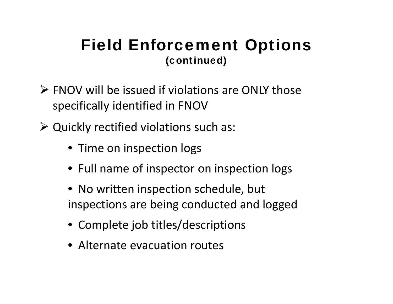If you all the issued if violations are ONLY those specifically identified in FNOV

¾ Quickl y rectified violations such as:

- Time on inspection logs
- Full name of inspector on inspection logs
- No written inspection schedule, but ins pections are bein g conducted and logged
- Complete job titles/descriptions
- Alternate evacuation routes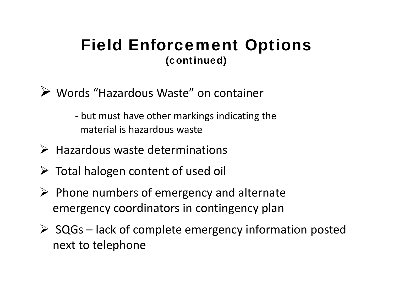- ▶ Words "Hazardous Waste " on container
	- ‐ but must have other markings indicating the material is hazardous waste
- $\triangleright$  Hazardous waste determinations
- ¾ Total halogen content of used oil
- $\triangleright$  Phone numbers of emergency and alternate emergency coordinators in contingency plan
- ¾ SQGs lack of complete emergency information posted next to telephone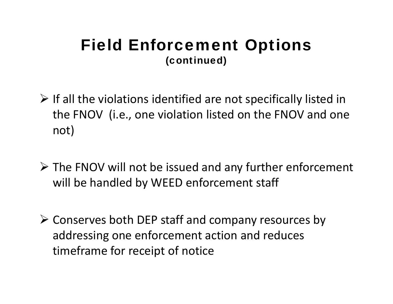- $\triangleright$  If all the violations identified are not specifically listed in the FNOV (i.e., one violation listed on the FNOV and one not)
- ¾ The FNOV will not be issued and any further enforcement will be handled by WEED enforcement staff
- ¾ Conserves both DEP staff and company resources by addressing one enforcement action and reduces timeframe for receipt of notice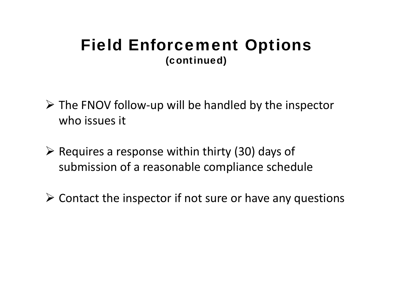- ¾ The FNOV follow ‐up will be handled by the inspector who issues it
- ¾ Requires a response within thirty (30) days of submission of a reasonable compliance schedule
- $\triangleright$  Contact the inspector if not sure or have any questions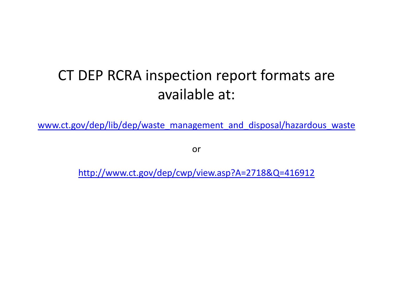## CT DEP RCRA inspection report formats are available at:

www.ct.gov/dep/lib/dep/waste\_management\_and\_disposal/hazardous\_waste

or

http://www.ct.gov/dep/cwp/view.asp?A=2718&Q=416912